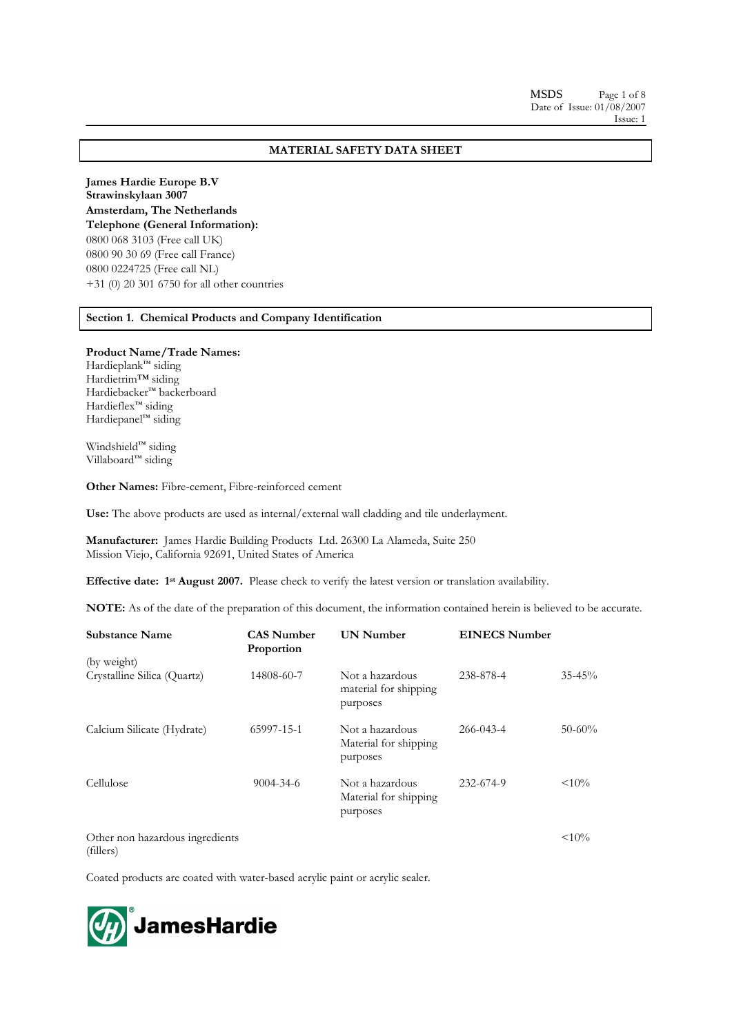# **MATERIAL SAFETY DATA SHEET**

**James Hardie Europe B.V Strawinskylaan 3007 Amsterdam, The Netherlands Telephone (General Information):** 0800 068 3103 (Free call UK) 0800 90 30 69 (Free call France) 0800 0224725 (Free call NL) +31 (0) 20 301 6750 for all other countries

**Section 1. Chemical Products and Company Identification** 

## **Product Name/Trade Names:**

Hardieplank™ siding Hardietrim™ siding Hardiebacker™ backerboard Hardieflex™ siding Hardiepanel™ siding

Windshield™ siding Villaboard™ siding

**Other Names:** Fibre-cement, Fibre-reinforced cement

**Use:** The above products are used as internal/external wall cladding and tile underlayment.

**Manufacturer:** James Hardie Building Products Ltd. 26300 La Alameda, Suite 250 Mission Viejo, California 92691, United States of America

**Effective date: 1st August 2007.** Please check to verify the latest version or translation availability.

**NOTE:** As of the date of the preparation of this document, the information contained herein is believed to be accurate.

| <b>Substance Name</b>                        | <b>CAS Number</b><br>Proportion | <b>UN Number</b>                                     | <b>EINECS Number</b> |             |
|----------------------------------------------|---------------------------------|------------------------------------------------------|----------------------|-------------|
| (by weight)                                  |                                 |                                                      |                      |             |
| Crystalline Silica (Quartz)                  | 14808-60-7                      | Not a hazardous<br>material for shipping<br>purposes | 238-878-4            | $35 - 45\%$ |
| Calcium Silicate (Hydrate)                   | 65997-15-1                      | Not a hazardous<br>Material for shipping<br>purposes | 266-043-4            | $50 - 60\%$ |
| Cellulose                                    | 9004-34-6                       | Not a hazardous<br>Material for shipping<br>purposes | 232-674-9            | $< 10\%$    |
| Other non hazardous ingredients<br>(fillers) |                                 |                                                      |                      | $< 10\%$    |

Coated products are coated with water-based acrylic paint or acrylic sealer.

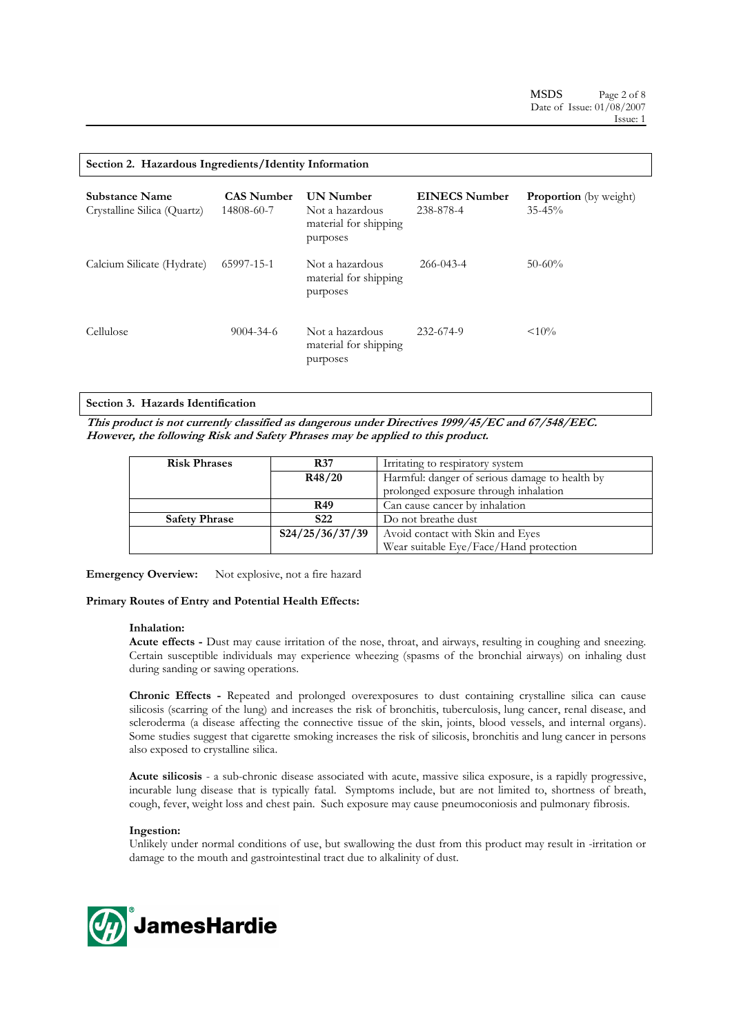|  |  |  |  | Section 2. Hazardous Ingredients/Identity Information |
|--|--|--|--|-------------------------------------------------------|
|--|--|--|--|-------------------------------------------------------|

| <b>Substance Name</b><br>Crystalline Silica (Quartz) | <b>CAS Number</b><br>14808-60-7 | <b>UN Number</b><br>Not a hazardous<br>material for shipping<br>purposes | <b>EINECS Number</b><br>238-878-4 | <b>Proportion</b> (by weight)<br>$35 - 45\%$ |
|------------------------------------------------------|---------------------------------|--------------------------------------------------------------------------|-----------------------------------|----------------------------------------------|
| Calcium Silicate (Hydrate)                           | 65997-15-1                      | Not a hazardous<br>material for shipping<br>purposes                     | $266 - 043 - 4$                   | $50-60%$                                     |
| Cellulose                                            | $9004 - 34 - 6$                 | Not a hazardous<br>material for shipping<br>purposes                     | 232-674-9                         | $< 10\%$                                     |

## **Section 3. Hazards Identification**

**This product is not currently classified as dangerous under Directives 1999/45/EC and 67/548/EEC. However, the following Risk and Safety Phrases may be applied to this product.** 

| <b>Risk Phrases</b>  | <b>R37</b>      | Irritating to respiratory system               |  |
|----------------------|-----------------|------------------------------------------------|--|
|                      | R48/20          | Harmful: danger of serious damage to health by |  |
|                      |                 | prolonged exposure through inhalation          |  |
|                      | <b>R49</b>      | Can cause cancer by inhalation                 |  |
| <b>Safety Phrase</b> | S <sub>22</sub> | Do not breathe dust                            |  |
|                      | S24/25/36/37/39 | Avoid contact with Skin and Eyes               |  |
|                      |                 | Wear suitable Eye/Face/Hand protection         |  |

**Emergency Overview:** Not explosive, not a fire hazard

## **Primary Routes of Entry and Potential Health Effects:**

## **Inhalation:**

**Acute effects -** Dust may cause irritation of the nose, throat, and airways, resulting in coughing and sneezing. Certain susceptible individuals may experience wheezing (spasms of the bronchial airways) on inhaling dust during sanding or sawing operations.

**Chronic Effects -** Repeated and prolonged overexposures to dust containing crystalline silica can cause silicosis (scarring of the lung) and increases the risk of bronchitis, tuberculosis, lung cancer, renal disease, and scleroderma (a disease affecting the connective tissue of the skin, joints, blood vessels, and internal organs). Some studies suggest that cigarette smoking increases the risk of silicosis, bronchitis and lung cancer in persons also exposed to crystalline silica.

**Acute silicosis** - a sub-chronic disease associated with acute, massive silica exposure, is a rapidly progressive, incurable lung disease that is typically fatal. Symptoms include, but are not limited to, shortness of breath, cough, fever, weight loss and chest pain. Such exposure may cause pneumoconiosis and pulmonary fibrosis.

# **Ingestion:**

Unlikely under normal conditions of use, but swallowing the dust from this product may result in -irritation or damage to the mouth and gastrointestinal tract due to alkalinity of dust.

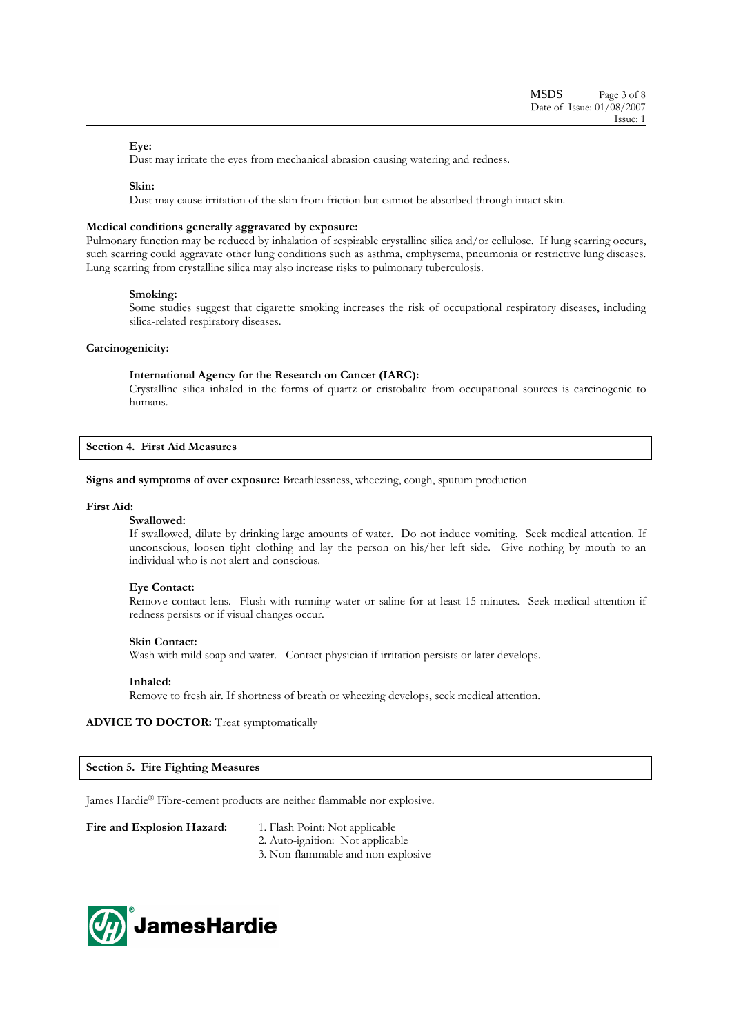# **Eye:**

Dust may irritate the eyes from mechanical abrasion causing watering and redness.

## **Skin:**

Dust may cause irritation of the skin from friction but cannot be absorbed through intact skin.

## **Medical conditions generally aggravated by exposure:**

Pulmonary function may be reduced by inhalation of respirable crystalline silica and/or cellulose. If lung scarring occurs, such scarring could aggravate other lung conditions such as asthma, emphysema, pneumonia or restrictive lung diseases. Lung scarring from crystalline silica may also increase risks to pulmonary tuberculosis.

### **Smoking:**

Some studies suggest that cigarette smoking increases the risk of occupational respiratory diseases, including silica-related respiratory diseases.

## **Carcinogenicity:**

## **International Agency for the Research on Cancer (IARC):**

Crystalline silica inhaled in the forms of quartz or cristobalite from occupational sources is carcinogenic to humans.

**Section 4. First Aid Measures** 

**Signs and symptoms of over exposure:** Breathlessness, wheezing, cough, sputum production

## **First Aid:**

## **Swallowed:**

If swallowed, dilute by drinking large amounts of water. Do not induce vomiting. Seek medical attention. If unconscious, loosen tight clothing and lay the person on his/her left side. Give nothing by mouth to an individual who is not alert and conscious.

## **Eye Contact:**

Remove contact lens. Flush with running water or saline for at least 15 minutes. Seek medical attention if redness persists or if visual changes occur.

## **Skin Contact:**

Wash with mild soap and water. Contact physician if irritation persists or later develops.

### **Inhaled:**

Remove to fresh air. If shortness of breath or wheezing develops, seek medical attention.

# **ADVICE TO DOCTOR:** Treat symptomatically

### **Section 5. Fire Fighting Measures**

James Hardie® Fibre-cement products are neither flammable nor explosive.

Fire and Explosion Hazard: 1. Flash Point: Not applicable

- 
- 2. Auto-ignition: Not applicable
- 3. Non-flammable and non-explosive

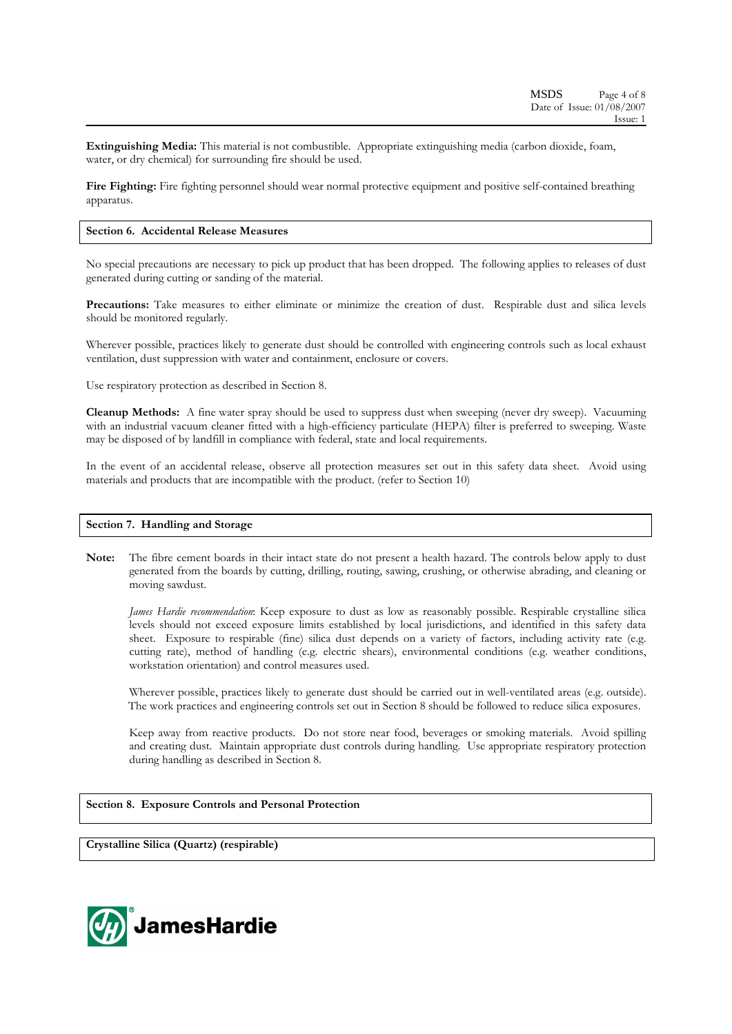**Extinguishing Media:** This material is not combustible. Appropriate extinguishing media (carbon dioxide, foam, water, or dry chemical) for surrounding fire should be used.

Fire Fighting: Fire fighting personnel should wear normal protective equipment and positive self-contained breathing apparatus.

## **Section 6. Accidental Release Measures**

No special precautions are necessary to pick up product that has been dropped. The following applies to releases of dust generated during cutting or sanding of the material.

**Precautions:** Take measures to either eliminate or minimize the creation of dust. Respirable dust and silica levels should be monitored regularly.

Wherever possible, practices likely to generate dust should be controlled with engineering controls such as local exhaust ventilation, dust suppression with water and containment, enclosure or covers.

Use respiratory protection as described in Section 8.

**Cleanup Methods:** A fine water spray should be used to suppress dust when sweeping (never dry sweep). Vacuuming with an industrial vacuum cleaner fitted with a high-efficiency particulate (HEPA) filter is preferred to sweeping. Waste may be disposed of by landfill in compliance with federal, state and local requirements.

In the event of an accidental release, observe all protection measures set out in this safety data sheet. Avoid using materials and products that are incompatible with the product. (refer to Section 10)

## **Section 7. Handling and Storage**

**Note:** The fibre cement boards in their intact state do not present a health hazard. The controls below apply to dust generated from the boards by cutting, drilling, routing, sawing, crushing, or otherwise abrading, and cleaning or moving sawdust.

*James Hardie recommendation*: Keep exposure to dust as low as reasonably possible. Respirable crystalline silica levels should not exceed exposure limits established by local jurisdictions, and identified in this safety data sheet. Exposure to respirable (fine) silica dust depends on a variety of factors, including activity rate (e.g. cutting rate), method of handling (e.g. electric shears), environmental conditions (e.g. weather conditions, workstation orientation) and control measures used.

Wherever possible, practices likely to generate dust should be carried out in well-ventilated areas (e.g. outside). The work practices and engineering controls set out in Section 8 should be followed to reduce silica exposures.

Keep away from reactive products. Do not store near food, beverages or smoking materials. Avoid spilling and creating dust. Maintain appropriate dust controls during handling. Use appropriate respiratory protection during handling as described in Section 8.

# **Section 8. Exposure Controls and Personal Protection**

**Crystalline Silica (Quartz) (respirable)** 

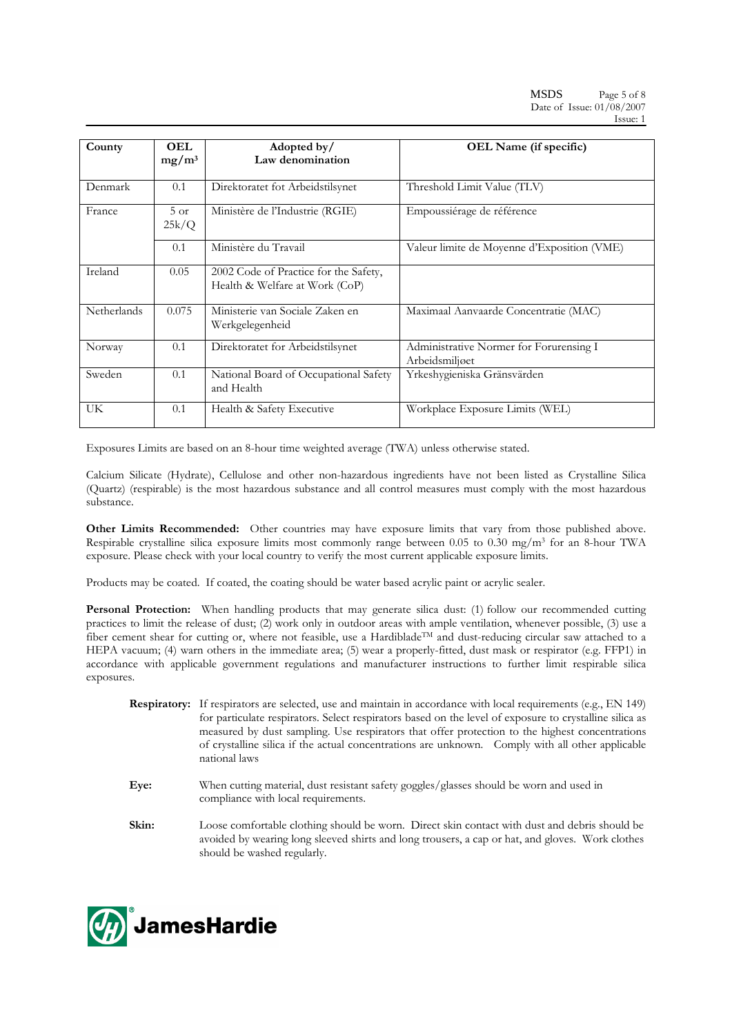| County      | <b>OEL</b>      | Adopted by/                                                             | OEL Name (if specific)                                    |
|-------------|-----------------|-------------------------------------------------------------------------|-----------------------------------------------------------|
|             | $mg/m^3$        | Law denomination                                                        |                                                           |
|             |                 |                                                                         |                                                           |
| Denmark     | 0.1             | Direktoratet fot Arbeidstilsynet                                        | Threshold Limit Value (TLV)                               |
| France      | $5$ or<br>25k/Q | Ministère de l'Industrie (RGIE)                                         | Empoussiérage de référence                                |
|             | 0.1             | Ministère du Travail                                                    | Valeur limite de Moyenne d'Exposition (VME)               |
| Ireland     | 0.05            | 2002 Code of Practice for the Safety,<br>Health & Welfare at Work (CoP) |                                                           |
| Netherlands | 0.075           | Ministerie van Sociale Zaken en<br>Werkgelegenheid                      | Maximaal Aanvaarde Concentratie (MAC)                     |
| Norway      | 0.1             | Direktoratet for Arbeidstilsynet                                        | Administrative Normer for Forurensing I<br>Arbeidsmiljøet |
| Sweden      | 0.1             | National Board of Occupational Safety<br>and Health                     | Yrkeshygieniska Gränsvärden                               |
| UK          | 0.1             | Health & Safety Executive                                               | Workplace Exposure Limits (WEL)                           |

Exposures Limits are based on an 8-hour time weighted average (TWA) unless otherwise stated.

Calcium Silicate (Hydrate), Cellulose and other non-hazardous ingredients have not been listed as Crystalline Silica (Quartz) (respirable) is the most hazardous substance and all control measures must comply with the most hazardous substance.

**Other Limits Recommended:** Other countries may have exposure limits that vary from those published above. Respirable crystalline silica exposure limits most commonly range between 0.05 to 0.30 mg/m3 for an 8-hour TWA exposure. Please check with your local country to verify the most current applicable exposure limits.

Products may be coated. If coated, the coating should be water based acrylic paint or acrylic sealer.

**Personal Protection:** When handling products that may generate silica dust: (1) follow our recommended cutting practices to limit the release of dust; (2) work only in outdoor areas with ample ventilation, whenever possible, (3) use a fiber cement shear for cutting or, where not feasible, use a HardibladeTM and dust-reducing circular saw attached to a HEPA vacuum; (4) warn others in the immediate area; (5) wear a properly-fitted, dust mask or respirator (e.g. FFP1) in accordance with applicable government regulations and manufacturer instructions to further limit respirable silica exposures.

- **Respiratory:** If respirators are selected, use and maintain in accordance with local requirements (e.g., EN 149) for particulate respirators. Select respirators based on the level of exposure to crystalline silica as measured by dust sampling. Use respirators that offer protection to the highest concentrations of crystalline silica if the actual concentrations are unknown. Comply with all other applicable national laws
- **Eye:** When cutting material, dust resistant safety goggles/glasses should be worn and used in compliance with local requirements.
- Skin: Loose comfortable clothing should be worn. Direct skin contact with dust and debris should be avoided by wearing long sleeved shirts and long trousers, a cap or hat, and gloves. Work clothes should be washed regularly.

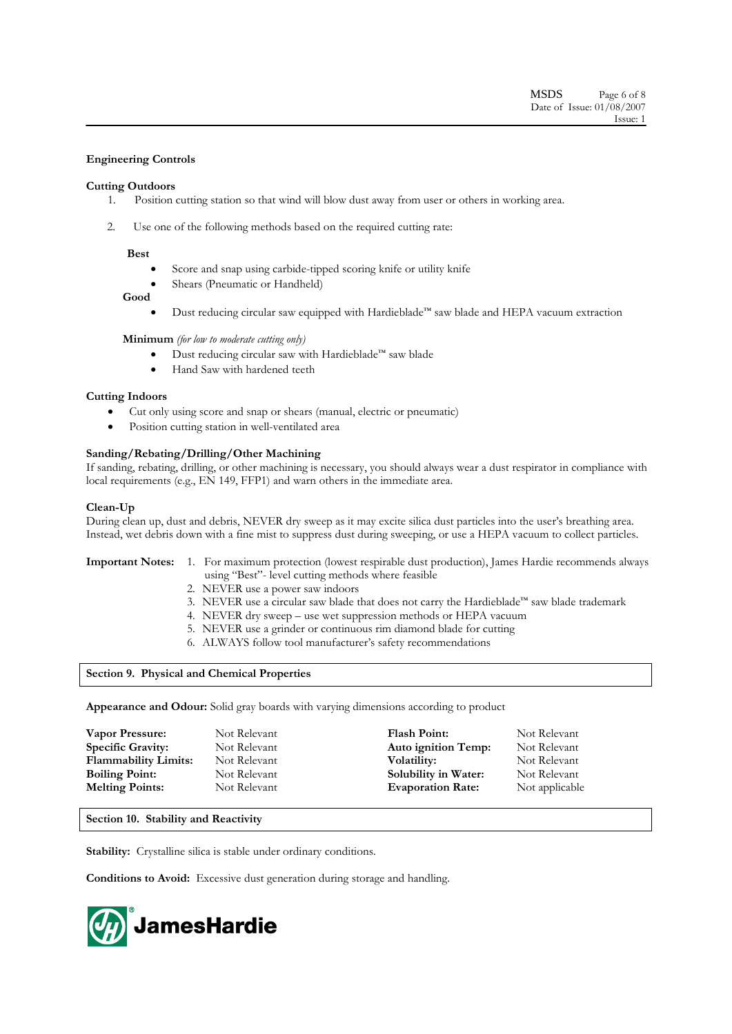# **Engineering Controls**

# **Cutting Outdoors**

- 1. Position cutting station so that wind will blow dust away from user or others in working area.
- 2. Use one of the following methods based on the required cutting rate:

## **Best**

- Score and snap using carbide-tipped scoring knife or utility knife
- Shears (Pneumatic or Handheld)

## **Good**

• Dust reducing circular saw equipped with Hardieblade™ saw blade and HEPA vacuum extraction

## **Minimum** *(for low to moderate cutting only)*

- Dust reducing circular saw with Hardieblade™ saw blade
- Hand Saw with hardened teeth

# **Cutting Indoors**

- Cut only using score and snap or shears (manual, electric or pneumatic)
- Position cutting station in well-ventilated area

# **Sanding/Rebating/Drilling/Other Machining**

If sanding, rebating, drilling, or other machining is necessary, you should always wear a dust respirator in compliance with local requirements (e.g., EN 149, FFP1) and warn others in the immediate area.

## **Clean-Up**

During clean up, dust and debris, NEVER dry sweep as it may excite silica dust particles into the user's breathing area. Instead, wet debris down with a fine mist to suppress dust during sweeping, or use a HEPA vacuum to collect particles.

- **Important Notes:** 1. For maximum protection (lowest respirable dust production), James Hardie recommends always using "Best"- level cutting methods where feasible
	- 2. NEVER use a power saw indoors
	- 3. NEVER use a circular saw blade that does not carry the Hardieblade™ saw blade trademark
	- 4. NEVER dry sweep use wet suppression methods or HEPA vacuum
	- 5. NEVER use a grinder or continuous rim diamond blade for cutting
	- 6. ALWAYS follow tool manufacturer's safety recommendations

# **Section 9. Physical and Chemical Properties**

**Appearance and Odour:** Solid gray boards with varying dimensions according to product

| Vapor Pressure:             | Not Relevant | <b>Flash Point:</b>        | Not Relevant   |
|-----------------------------|--------------|----------------------------|----------------|
| <b>Specific Gravity:</b>    | Not Relevant | <b>Auto ignition Temp:</b> | Not Relevant   |
| <b>Flammability Limits:</b> | Not Relevant | Volatility:                | Not Relevant   |
| <b>Boiling Point:</b>       | Not Relevant | Solubility in Water:       | Not Relevant   |
| <b>Melting Points:</b>      | Not Relevant | <b>Evaporation Rate:</b>   | Not applicable |

# **Section 10. Stability and Reactivity**

**Stability:** Crystalline silica is stable under ordinary conditions.

**Conditions to Avoid:** Excessive dust generation during storage and handling.

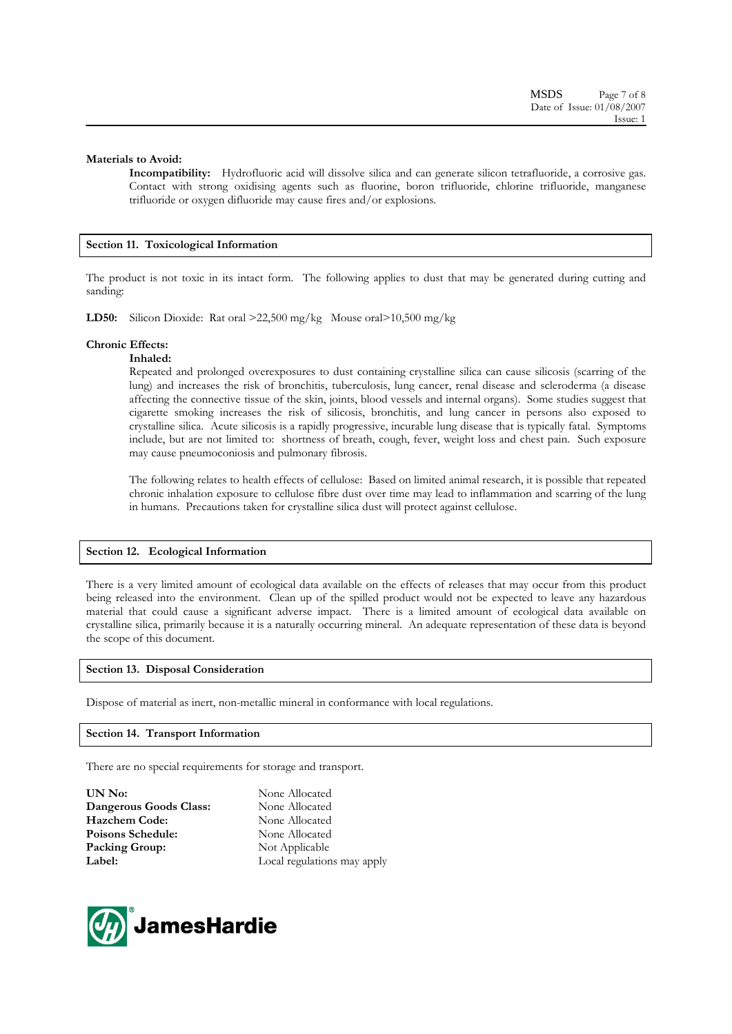# **Materials to Avoid:**

**Incompatibility:** Hydrofluoric acid will dissolve silica and can generate silicon tetrafluoride, a corrosive gas. Contact with strong oxidising agents such as fluorine, boron trifluoride, chlorine trifluoride, manganese trifluoride or oxygen difluoride may cause fires and/or explosions.

# **Section 11. Toxicological Information**

The product is not toxic in its intact form. The following applies to dust that may be generated during cutting and sanding:

**LD50:** Silicon Dioxide: Rat oral >22,500 mg/kg Mouse oral>10,500 mg/kg

# **Chronic Effects:**

# **Inhaled:**

Repeated and prolonged overexposures to dust containing crystalline silica can cause silicosis (scarring of the lung) and increases the risk of bronchitis, tuberculosis, lung cancer, renal disease and scleroderma (a disease affecting the connective tissue of the skin, joints, blood vessels and internal organs). Some studies suggest that cigarette smoking increases the risk of silicosis, bronchitis, and lung cancer in persons also exposed to crystalline silica. Acute silicosis is a rapidly progressive, incurable lung disease that is typically fatal. Symptoms include, but are not limited to: shortness of breath, cough, fever, weight loss and chest pain. Such exposure may cause pneumoconiosis and pulmonary fibrosis.

The following relates to health effects of cellulose: Based on limited animal research, it is possible that repeated chronic inhalation exposure to cellulose fibre dust over time may lead to inflammation and scarring of the lung in humans. Precautions taken for crystalline silica dust will protect against cellulose.

# **Section 12. Ecological Information**

There is a very limited amount of ecological data available on the effects of releases that may occur from this product being released into the environment. Clean up of the spilled product would not be expected to leave any hazardous material that could cause a significant adverse impact. There is a limited amount of ecological data available on crystalline silica, primarily because it is a naturally occurring mineral. An adequate representation of these data is beyond the scope of this document.

# **Section 13. Disposal Consideration**

Dispose of material as inert, non-metallic mineral in conformance with local regulations.

# **Section 14. Transport Information**

There are no special requirements for storage and transport.

**UN No:** None Allocated **Dangerous Goods Class:** None Allocated **Hazchem Code:** None Allocated Poisons Schedule: None Allocated **Packing Group:** Not Applicable **Label:** Local regulations may apply